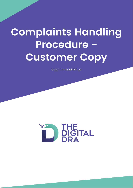## **Complaints Handling** Procedure -**Customer Copy**

© 2021 The Digital DRA Ltd